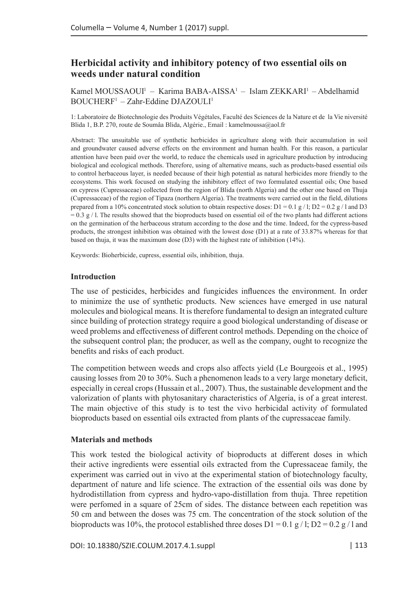# **Herbicidal activity and inhibitory potency of two essential oils on weeds under natural condition**

Kamel MOUSSAOUI<sup>1</sup> – Karima BABA-AISSA<sup>1</sup> – Islam ZEKKARI<sup>1</sup> – Abdelhamid BOUCHERF1 – Zahr-Eddine DJAZOULI1

1: Laboratoire de Biotechnologie des Produits Végétales, Faculté des Sciences de la Nature et de la Vie niversité Blida 1, B.P. 270, route de Soumâa Blida, Algérie., Email : kamelmoussa@aol.fr

Abstract: The unsuitable use of synthetic herbicides in agriculture along with their accumulation in soil and groundwater caused adverse effects on the environment and human health. For this reason, a particular attention have been paid over the world, to reduce the chemicals used in agriculture production by introducing biological and ecological methods. Therefore, using of alternative means, such as products-based essential oils to control herbaceous layer, is needed because of their high potential as natural herbicides more friendly to the ecosystems. This work focused on studying the inhibitory effect of two formulated essential oils; One based on cypress (Cupressaceae) collected from the region of Blida (north Algeria) and the other one based on Thuja (Cupressaceae) of the region of Tipaza (northern Algeria). The treatments were carried out in the field, dilutions prepared from a 10% concentrated stock solution to obtain respective doses:  $D1 = 0.1 g / I$ ;  $D2 = 0.2 g / I$  and D3  $= 0.3$  g / l. The results showed that the bioproducts based on essential oil of the two plants had different actions on the germination of the herbaceous stratum according to the dose and the time. Indeed, for the cypress-based products, the strongest inhibition was obtained with the lowest dose (D1) at a rate of 33.87% whereas for that based on thuja, it was the maximum dose (D3) with the highest rate of inhibition (14%).

Keywords: Bioherbicide, cupress, essential oils, inhibition, thuja.

#### **Introduction**

The use of pesticides, herbicides and fungicides influences the environment. In order to minimize the use of synthetic products. New sciences have emerged in use natural molecules and biological means. It is therefore fundamental to design an integrated culture since building of protection strategy require a good biological understanding of disease or weed problems and effectiveness of different control methods. Depending on the choice of the subsequent control plan; the producer, as well as the company, ought to recognize the benefits and risks of each product.

The competition between weeds and crops also affects yield (Le Bourgeois et al., 1995) causing losses from 20 to 30%. Such a phenomenon leads to a very large monetary deficit, especially in cereal crops (Hussain et al., 2007). Thus, the sustainable development and the valorization of plants with phytosanitary characteristics of Algeria, is of a great interest. The main objective of this study is to test the vivo herbicidal activity of formulated bioproducts based on essential oils extracted from plants of the cupressaceae family.

#### **Materials and methods**

This work tested the biological activity of bioproducts at different doses in which their active ingredients were essential oils extracted from the Cupressaceae family, the experiment was carried out in vivo at the experimental station of biotechnology faculty, department of nature and life science. The extraction of the essential oils was done by hydrodistillation from cypress and hydro-vapo-distillation from thuja. Three repetition were perfomed in a square of 25cm of sides. The distance between each repetition was 50 cm and between the doses was 75 cm. The concentration of the stock solution of the bioproducts was 10%, the protocol established three doses  $D1 = 0.1 g / 1$ ;  $D2 = 0.2 g / 1$  and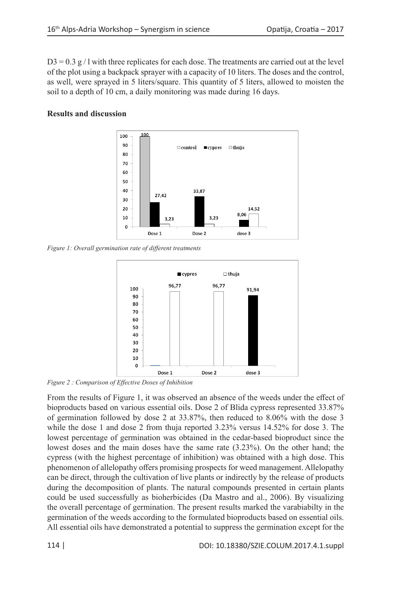$D3 = 0.3$  g / l with three replicates for each dose. The treatments are carried out at the level of the plot using a backpack sprayer with a capacity of 10 liters. The doses and the control, as well, were sprayed in 5 liters/square. This quantity of 5 liters, allowed to moisten the soil to a depth of 10 cm, a daily monitoring was made during 16 days.

### **Results and discussion**



*Figure 1: Overall germination rate of different treatments*



*Figure 2 : Comparison of Effective Doses of Inhibition*

From the results of Figure 1, it was observed an absence of the weeds under the effect of bioproducts based on various essential oils. Dose 2 of Blida cypress represented 33.87% of germination followed by dose 2 at 33.87%, then reduced to 8.06% with the dose 3 while the dose 1 and dose 2 from thuja reported 3.23% versus 14.52% for dose 3. The lowest percentage of germination was obtained in the cedar-based bioproduct since the lowest doses and the main doses have the same rate (3.23%). On the other hand; the cypress (with the highest percentage of inhibition) was obtained with a high dose. This phenomenon of allelopathy offers promising prospects for weed management. Allelopathy can be direct, through the cultivation of live plants or indirectly by the release of products during the decomposition of plants. The natural compounds presented in certain plants could be used successfully as bioherbicides (Da Mastro and al., 2006). By visualizing the overall percentage of germination. The present results marked the varabiabilty in the germination of the weeds according to the formulated bioproducts based on essential oils. All essential oils have demonstrated a potential to suppress the germination except for the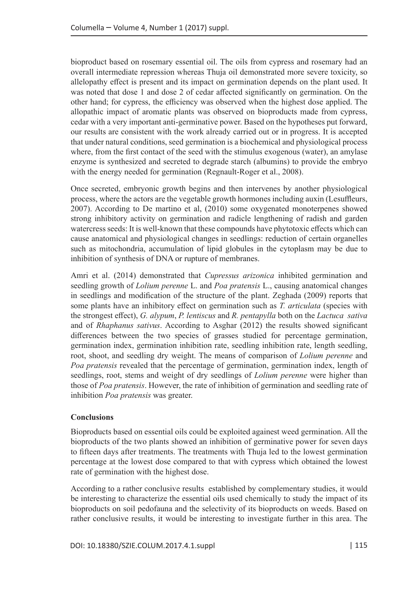bioproduct based on rosemary essential oil. The oils from cypress and rosemary had an overall intermediate repression whereas Thuja oil demonstrated more severe toxicity, so allelopathy effect is present and its impact on germination depends on the plant used. It was noted that dose 1 and dose 2 of cedar affected significantly on germination. On the other hand; for cypress, the efficiency was observed when the highest dose applied. The allopathic impact of aromatic plants was observed on bioproducts made from cypress, cedar with a very important anti-germinative power. Based on the hypotheses put forward, our results are consistent with the work already carried out or in progress. It is accepted that under natural conditions, seed germination is a biochemical and physiological process where, from the first contact of the seed with the stimulus exogenous (water), an amylase enzyme is synthesized and secreted to degrade starch (albumins) to provide the embryo with the energy needed for germination (Regnault-Roger et al., 2008).

Once secreted, embryonic growth begins and then intervenes by another physiological process, where the actors are the vegetable growth hormones including auxin (Lesuffleurs, 2007). According to De martino et al, (2010) some oxygenated monoterpenes showed strong inhibitory activity on germination and radicle lengthening of radish and garden watercress seeds: It is well-known that these compounds have phytotoxic effects which can cause anatomical and physiological changes in seedlings: reduction of certain organelles such as mitochondria, accumulation of lipid globules in the cytoplasm may be due to inhibition of synthesis of DNA or rupture of membranes.

Amri et al. (2014) demonstrated that *Cupressus arizonica* inhibited germination and seedling growth of *Lolium perenne* L. and *Poa pratensis* L., causing anatomical changes in seedlings and modification of the structure of the plant. Zeghada (2009) reports that some plants have an inhibitory effect on germination such as *T. articulata* (species with the strongest effect), *G. alypum*, *P. lentiscus* and *R. pentapylla* both on the *Lactuca sativa* and of *Rhaphanus sativus*. According to Asghar (2012) the results showed significant differences between the two species of grasses studied for percentage germination, germination index, germination inhibition rate, seedling inhibition rate, length seedling, root, shoot, and seedling dry weight. The means of comparison of *Lolium perenne* and *Poa pratensis* revealed that the percentage of germination, germination index, length of seedlings, root, stems and weight of dry seedlings of *Lolium perenne* were higher than those of *Poa pratensis*. However, the rate of inhibition of germination and seedling rate of inhibition *Poa pratensis* was greater.

## **Conclusions**

Bioproducts based on essential oils could be exploited againest weed germination. All the bioproducts of the two plants showed an inhibition of germinative power for seven days to fifteen days after treatments. The treatments with Thuja led to the lowest germination percentage at the lowest dose compared to that with cypress which obtained the lowest rate of germination with the highest dose.

According to a rather conclusive results established by complementary studies, it would be interesting to characterize the essential oils used chemically to study the impact of its bioproducts on soil pedofauna and the selectivity of its bioproducts on weeds. Based on rather conclusive results, it would be interesting to investigate further in this area. The